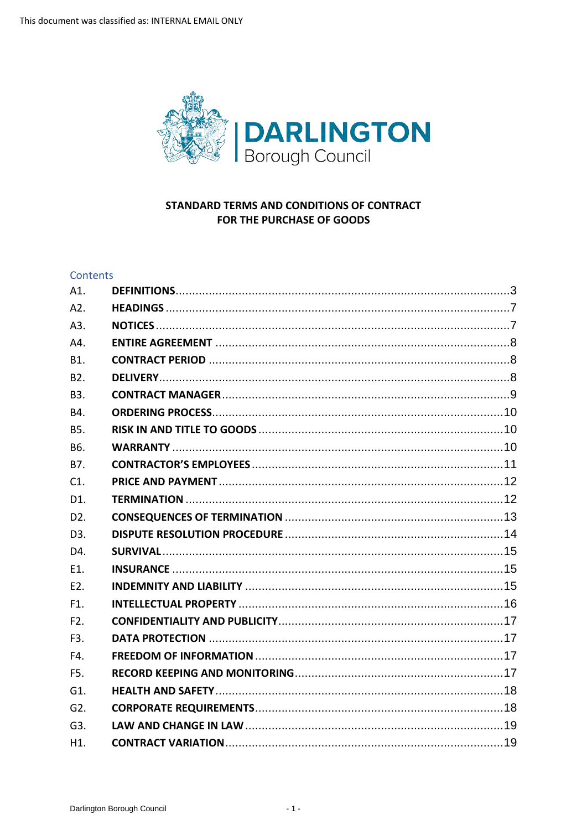

# STANDARD TERMS AND CONDITIONS OF CONTRACT FOR THE PURCHASE OF GOODS

## Contents

| A1.              |  |
|------------------|--|
| A2.              |  |
| A3.              |  |
| A4.              |  |
| B1.              |  |
| B <sub>2</sub> . |  |
| B <sub>3</sub> . |  |
| B4.              |  |
| <b>B5.</b>       |  |
| B6.              |  |
| B7.              |  |
| C <sub>1</sub>   |  |
| D1.              |  |
| D <sub>2</sub> . |  |
| D <sub>3</sub> . |  |
| D4.              |  |
| E1.              |  |
| E2.              |  |
| F1.              |  |
| F <sub>2</sub> . |  |
| F3.              |  |
| F4.              |  |
| F5.              |  |
| G1.              |  |
| G <sub>2</sub> . |  |
| G3.              |  |
| H1.              |  |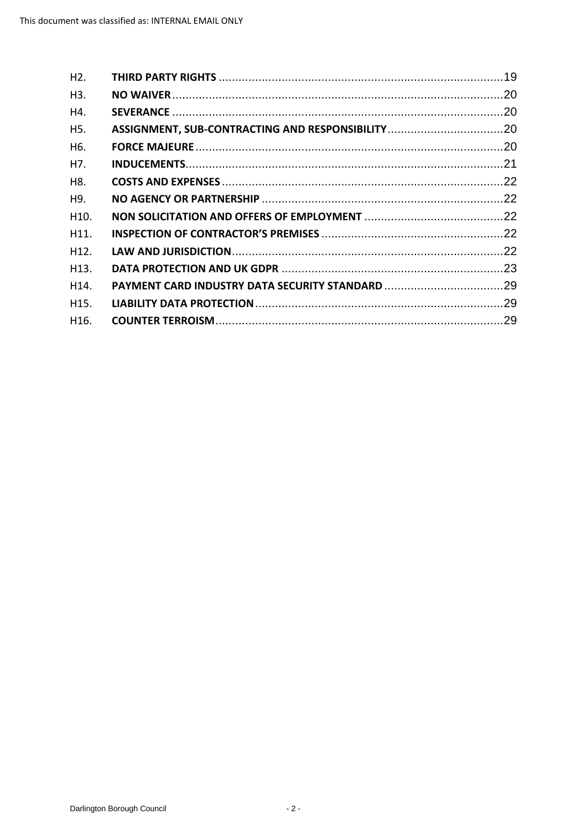| H <sub>2</sub> .  |  |
|-------------------|--|
| H3.               |  |
| H4.               |  |
| H <sub>5</sub> .  |  |
| H <sub>6</sub> .  |  |
| H7.               |  |
| H8.               |  |
| H9.               |  |
| H10.              |  |
| H <sub>11</sub> . |  |
| H <sub>12</sub> . |  |
| H <sub>13</sub> . |  |
| H14.              |  |
| H15.              |  |
| H <sub>16</sub> . |  |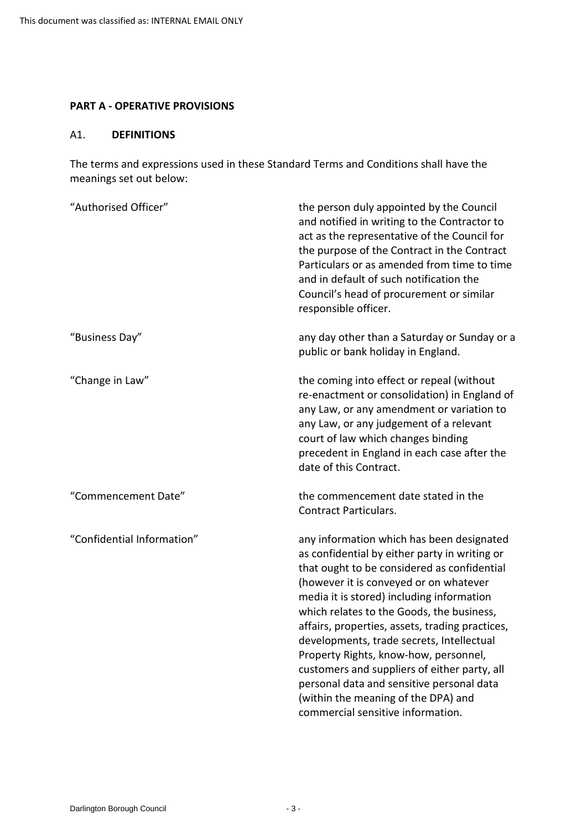#### **PART A - OPERATIVE PROVISIONS**

#### <span id="page-2-0"></span>A1. **DEFINITIONS**

 The terms and expressions used in these Standard Terms and Conditions shall have the meanings set out below:

| "Authorised Officer"       | the person duly appointed by the Council<br>and notified in writing to the Contractor to<br>act as the representative of the Council for<br>the purpose of the Contract in the Contract<br>Particulars or as amended from time to time<br>and in default of such notification the<br>Council's head of procurement or similar<br>responsible officer.                                                                                                                                                                                                                                           |
|----------------------------|-------------------------------------------------------------------------------------------------------------------------------------------------------------------------------------------------------------------------------------------------------------------------------------------------------------------------------------------------------------------------------------------------------------------------------------------------------------------------------------------------------------------------------------------------------------------------------------------------|
| "Business Day"             | any day other than a Saturday or Sunday or a<br>public or bank holiday in England.                                                                                                                                                                                                                                                                                                                                                                                                                                                                                                              |
| "Change in Law"            | the coming into effect or repeal (without<br>re-enactment or consolidation) in England of<br>any Law, or any amendment or variation to<br>any Law, or any judgement of a relevant<br>court of law which changes binding<br>precedent in England in each case after the<br>date of this Contract.                                                                                                                                                                                                                                                                                                |
| "Commencement Date"        | the commencement date stated in the<br><b>Contract Particulars.</b>                                                                                                                                                                                                                                                                                                                                                                                                                                                                                                                             |
| "Confidential Information" | any information which has been designated<br>as confidential by either party in writing or<br>that ought to be considered as confidential<br>(however it is conveyed or on whatever<br>media it is stored) including information<br>which relates to the Goods, the business,<br>affairs, properties, assets, trading practices,<br>developments, trade secrets, Intellectual<br>Property Rights, know-how, personnel,<br>customers and suppliers of either party, all<br>personal data and sensitive personal data<br>(within the meaning of the DPA) and<br>commercial sensitive information. |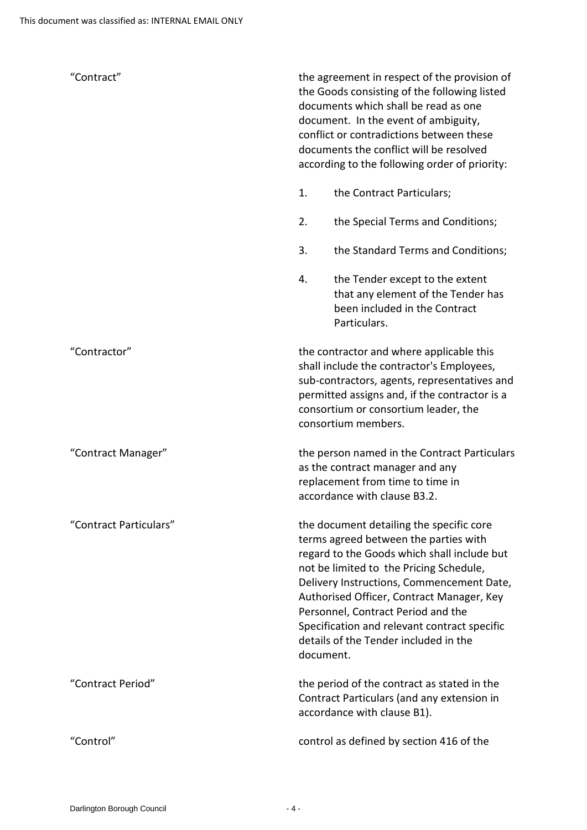| "Contract"             | the agreement in respect of the provision of<br>the Goods consisting of the following listed<br>documents which shall be read as one<br>document. In the event of ambiguity,<br>conflict or contradictions between these<br>documents the conflict will be resolved<br>according to the following order of priority:                                                                                              |
|------------------------|-------------------------------------------------------------------------------------------------------------------------------------------------------------------------------------------------------------------------------------------------------------------------------------------------------------------------------------------------------------------------------------------------------------------|
|                        | 1.<br>the Contract Particulars;                                                                                                                                                                                                                                                                                                                                                                                   |
|                        | 2.<br>the Special Terms and Conditions;                                                                                                                                                                                                                                                                                                                                                                           |
|                        | 3.<br>the Standard Terms and Conditions;                                                                                                                                                                                                                                                                                                                                                                          |
|                        | 4.<br>the Tender except to the extent<br>that any element of the Tender has<br>been included in the Contract<br>Particulars.                                                                                                                                                                                                                                                                                      |
| "Contractor"           | the contractor and where applicable this<br>shall include the contractor's Employees,<br>sub-contractors, agents, representatives and<br>permitted assigns and, if the contractor is a<br>consortium or consortium leader, the<br>consortium members.                                                                                                                                                             |
| "Contract Manager"     | the person named in the Contract Particulars<br>as the contract manager and any<br>replacement from time to time in<br>accordance with clause B3.2.                                                                                                                                                                                                                                                               |
| "Contract Particulars" | the document detailing the specific core<br>terms agreed between the parties with<br>regard to the Goods which shall include but<br>not be limited to the Pricing Schedule,<br>Delivery Instructions, Commencement Date,<br>Authorised Officer, Contract Manager, Key<br>Personnel, Contract Period and the<br>Specification and relevant contract specific<br>details of the Tender included in the<br>document. |
| "Contract Period"      | the period of the contract as stated in the<br>Contract Particulars (and any extension in<br>accordance with clause B1).                                                                                                                                                                                                                                                                                          |
| "Control"              | control as defined by section 416 of the                                                                                                                                                                                                                                                                                                                                                                          |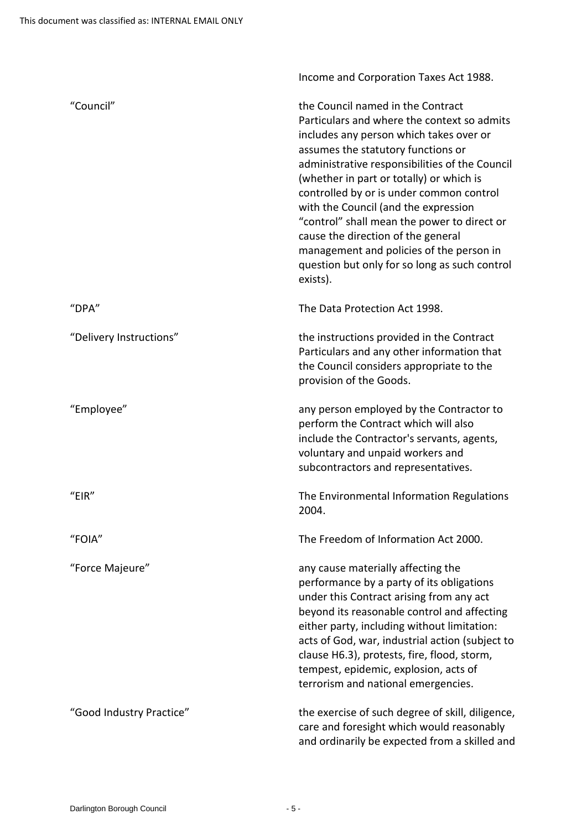|                          | Income and Corporation Taxes Act 1988.                                                                                                                                                                                                                                                                                                                                                                                                                                                                                                            |
|--------------------------|---------------------------------------------------------------------------------------------------------------------------------------------------------------------------------------------------------------------------------------------------------------------------------------------------------------------------------------------------------------------------------------------------------------------------------------------------------------------------------------------------------------------------------------------------|
| "Council"                | the Council named in the Contract<br>Particulars and where the context so admits<br>includes any person which takes over or<br>assumes the statutory functions or<br>administrative responsibilities of the Council<br>(whether in part or totally) or which is<br>controlled by or is under common control<br>with the Council (and the expression<br>"control" shall mean the power to direct or<br>cause the direction of the general<br>management and policies of the person in<br>question but only for so long as such control<br>exists). |
| "DPA"                    | The Data Protection Act 1998.                                                                                                                                                                                                                                                                                                                                                                                                                                                                                                                     |
| "Delivery Instructions"  | the instructions provided in the Contract<br>Particulars and any other information that<br>the Council considers appropriate to the<br>provision of the Goods.                                                                                                                                                                                                                                                                                                                                                                                    |
| "Employee"               | any person employed by the Contractor to<br>perform the Contract which will also<br>include the Contractor's servants, agents,<br>voluntary and unpaid workers and<br>subcontractors and representatives.                                                                                                                                                                                                                                                                                                                                         |
| "EIR"                    | The Environmental Information Regulations<br>2004.                                                                                                                                                                                                                                                                                                                                                                                                                                                                                                |
| "FOIA"                   | The Freedom of Information Act 2000.                                                                                                                                                                                                                                                                                                                                                                                                                                                                                                              |
| "Force Majeure"          | any cause materially affecting the<br>performance by a party of its obligations<br>under this Contract arising from any act<br>beyond its reasonable control and affecting<br>either party, including without limitation:<br>acts of God, war, industrial action (subject to<br>clause H6.3), protests, fire, flood, storm,<br>tempest, epidemic, explosion, acts of<br>terrorism and national emergencies.                                                                                                                                       |
| "Good Industry Practice" | the exercise of such degree of skill, diligence,<br>care and foresight which would reasonably<br>and ordinarily be expected from a skilled and                                                                                                                                                                                                                                                                                                                                                                                                    |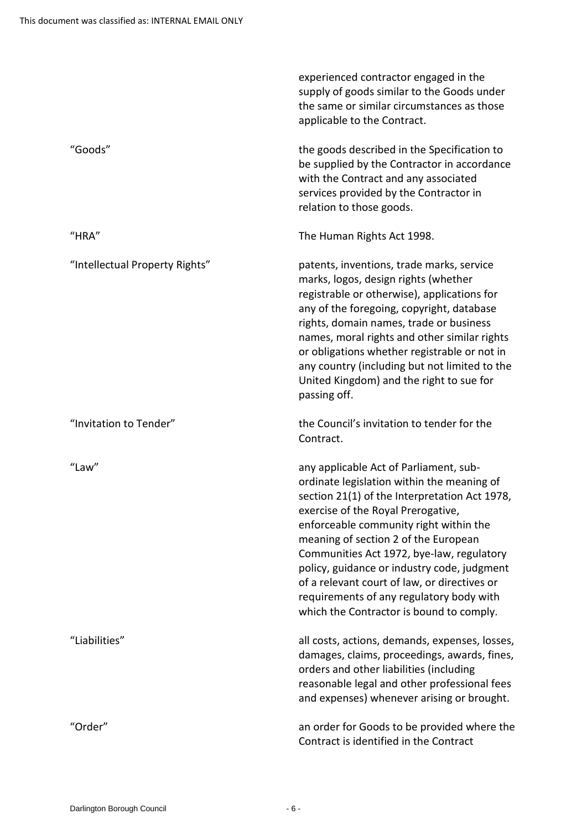|                                | experienced contractor engaged in the<br>supply of goods similar to the Goods under<br>the same or similar circumstances as those<br>applicable to the Contract.                                                                                                                                                                                                                                                                                                                                  |
|--------------------------------|---------------------------------------------------------------------------------------------------------------------------------------------------------------------------------------------------------------------------------------------------------------------------------------------------------------------------------------------------------------------------------------------------------------------------------------------------------------------------------------------------|
| "Goods"                        | the goods described in the Specification to<br>be supplied by the Contractor in accordance<br>with the Contract and any associated<br>services provided by the Contractor in<br>relation to those goods.                                                                                                                                                                                                                                                                                          |
| "HRA"                          | The Human Rights Act 1998.                                                                                                                                                                                                                                                                                                                                                                                                                                                                        |
| "Intellectual Property Rights" | patents, inventions, trade marks, service<br>marks, logos, design rights (whether<br>registrable or otherwise), applications for<br>any of the foregoing, copyright, database<br>rights, domain names, trade or business<br>names, moral rights and other similar rights<br>or obligations whether registrable or not in<br>any country (including but not limited to the<br>United Kingdom) and the right to sue for<br>passing off.                                                             |
| "Invitation to Tender"         | the Council's invitation to tender for the<br>Contract.                                                                                                                                                                                                                                                                                                                                                                                                                                           |
| "Law"                          | any applicable Act of Parliament, sub-<br>ordinate legislation within the meaning of<br>section 21(1) of the Interpretation Act 1978,<br>exercise of the Royal Prerogative,<br>enforceable community right within the<br>meaning of section 2 of the European<br>Communities Act 1972, bye-law, regulatory<br>policy, guidance or industry code, judgment<br>of a relevant court of law, or directives or<br>requirements of any regulatory body with<br>which the Contractor is bound to comply. |
| "Liabilities"                  | all costs, actions, demands, expenses, losses,<br>damages, claims, proceedings, awards, fines,<br>orders and other liabilities (including<br>reasonable legal and other professional fees<br>and expenses) whenever arising or brought.                                                                                                                                                                                                                                                           |
| "Order"                        | an order for Goods to be provided where the<br>Contract is identified in the Contract                                                                                                                                                                                                                                                                                                                                                                                                             |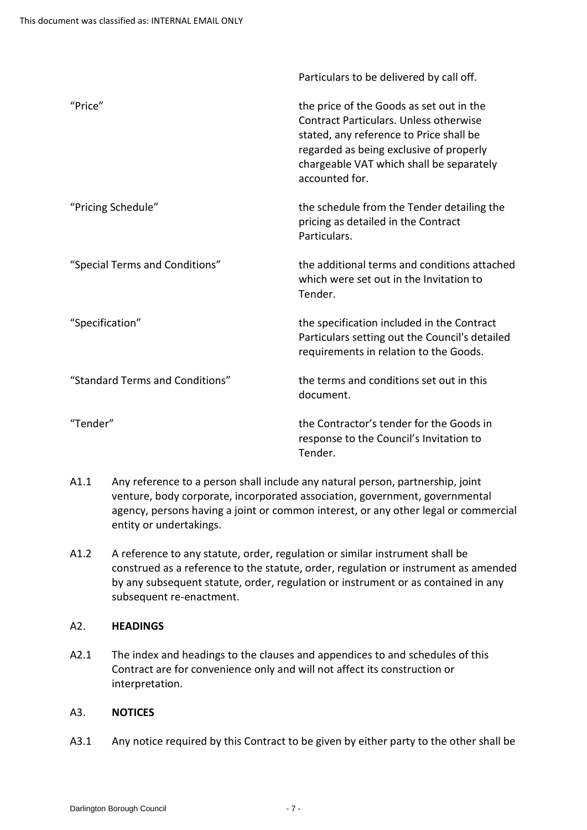|                                 | Particulars to be delivered by call off.                                                                                                                                                                                                      |
|---------------------------------|-----------------------------------------------------------------------------------------------------------------------------------------------------------------------------------------------------------------------------------------------|
| "Price"                         | the price of the Goods as set out in the<br><b>Contract Particulars. Unless otherwise</b><br>stated, any reference to Price shall be<br>regarded as being exclusive of properly<br>chargeable VAT which shall be separately<br>accounted for. |
| "Pricing Schedule"              | the schedule from the Tender detailing the<br>pricing as detailed in the Contract<br>Particulars.                                                                                                                                             |
| "Special Terms and Conditions"  | the additional terms and conditions attached<br>which were set out in the Invitation to<br>Tender.                                                                                                                                            |
| "Specification"                 | the specification included in the Contract<br>Particulars setting out the Council's detailed<br>requirements in relation to the Goods.                                                                                                        |
| "Standard Terms and Conditions" | the terms and conditions set out in this<br>document.                                                                                                                                                                                         |
| "Tender"                        | the Contractor's tender for the Goods in<br>response to the Council's Invitation to<br>Tender.                                                                                                                                                |

- A1.1 Any reference to a person shall include any natural person, partnership, joint venture, body corporate, incorporated association, government, governmental agency, persons having a joint or common interest, or any other legal or commercial entity or undertakings.
- A1.2 A reference to any statute, order, regulation or similar instrument shall be construed as a reference to the statute, order, regulation or instrument as amended by any subsequent statute, order, regulation or instrument or as contained in any subsequent re-enactment.

# <span id="page-6-0"></span>A2. **HEADINGS**

A2.1 The index and headings to the clauses and appendices to and schedules of this Contract are for convenience only and will not affect its construction or interpretation.

# <span id="page-6-1"></span>A3. **NOTICES**

A3.1 Any notice required by this Contract to be given by either party to the other shall be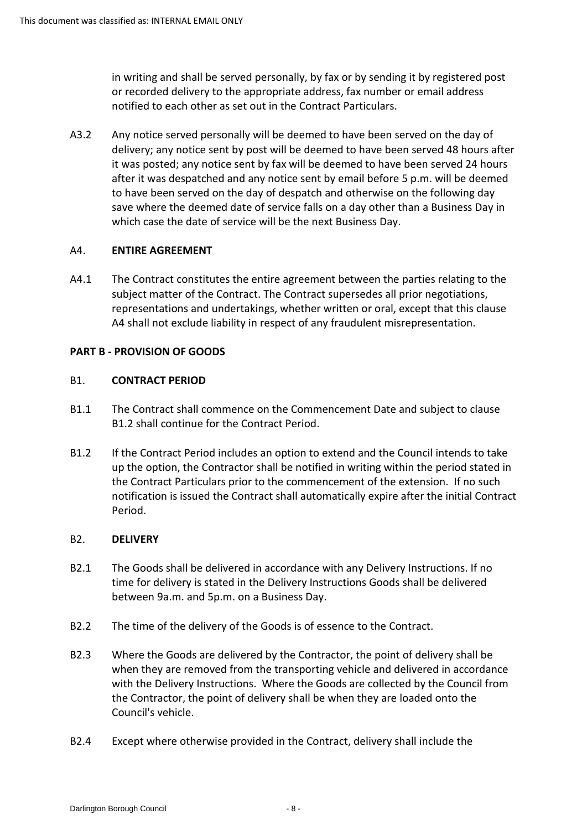in writing and shall be served personally, by fax or by sending it by registered post or recorded delivery to the appropriate address, fax number or email address notified to each other as set out in the Contract Particulars.

 A3.2 Any notice served personally will be deemed to have been served on the day of delivery; any notice sent by post will be deemed to have been served 48 hours after it was posted; any notice sent by fax will be deemed to have been served 24 hours after it was despatched and any notice sent by email before 5 p.m. will be deemed to have been served on the day of despatch and otherwise on the following day save where the deemed date of service falls on a day other than a Business Day in which case the date of service will be the next Business Day.

## <span id="page-7-0"></span>A4. **ENTIRE AGREEMENT**

 representations and undertakings, whether written or oral, except that this clause A4.1 The Contract constitutes the entire agreement between the parties relating to the subject matter of the Contract. The Contract supersedes all prior negotiations, A4 shall not exclude liability in respect of any fraudulent misrepresentation.

## **PART B - PROVISION OF GOODS**

## <span id="page-7-1"></span>B1. **CONTRACT PERIOD**

- B1.1 The Contract shall commence on the Commencement Date and subject to clause B1.2 shall continue for the Contract Period.
- B1.2 If the Contract Period includes an option to extend and the Council intends to take up the option, the Contractor shall be notified in writing within the period stated in the Contract Particulars prior to the commencement of the extension. If no such notification is issued the Contract shall automatically expire after the initial Contract Period.

## <span id="page-7-2"></span>B2. **DELIVERY**

- time for delivery is stated in the Delivery Instructions Goods shall be delivered B2.1 The Goods shall be delivered in accordance with any Delivery Instructions. If no between 9a.m. and 5p.m. on a Business Day.
- B2.2 The time of the delivery of the Goods is of essence to the Contract.
- when they are removed from the transporting vehicle and delivered in accordance with the Delivery Instructions. Where the Goods are collected by the Council from B2.3 Where the Goods are delivered by the Contractor, the point of delivery shall be the Contractor, the point of delivery shall be when they are loaded onto the Council's vehicle.
- B2.4 Except where otherwise provided in the Contract, delivery shall include the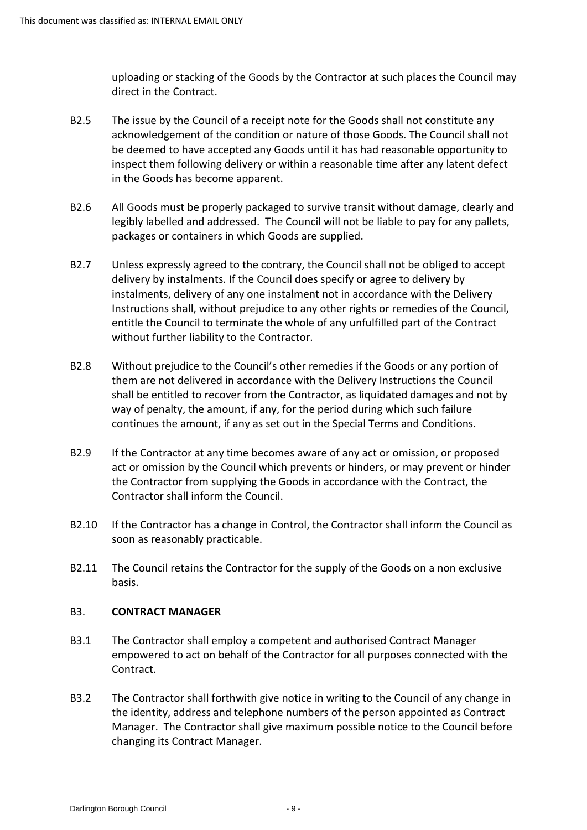uploading or stacking of the Goods by the Contractor at such places the Council may direct in the Contract.

- B2.5 The issue by the Council of a receipt note for the Goods shall not constitute any acknowledgement of the condition or nature of those Goods. The Council shall not be deemed to have accepted any Goods until it has had reasonable opportunity to inspect them following delivery or within a reasonable time after any latent defect in the Goods has become apparent.
- B2.6 All Goods must be properly packaged to survive transit without damage, clearly and legibly labelled and addressed. The Council will not be liable to pay for any pallets, packages or containers in which Goods are supplied.
- B2.7 Unless expressly agreed to the contrary, the Council shall not be obliged to accept delivery by instalments. If the Council does specify or agree to delivery by Instructions shall, without prejudice to any other rights or remedies of the Council, instalments, delivery of any one instalment not in accordance with the Delivery entitle the Council to terminate the whole of any unfulfilled part of the Contract without further liability to the Contractor.
- them are not delivered in accordance with the Delivery Instructions the Council B2.8 Without prejudice to the Council's other remedies if the Goods or any portion of shall be entitled to recover from the Contractor, as liquidated damages and not by way of penalty, the amount, if any, for the period during which such failure continues the amount, if any as set out in the Special Terms and Conditions.
- B2.9 If the Contractor at any time becomes aware of any act or omission, or proposed act or omission by the Council which prevents or hinders, or may prevent or hinder the Contractor from supplying the Goods in accordance with the Contract, the Contractor shall inform the Council.
- B2.10 If the Contractor has a change in Control, the Contractor shall inform the Council as soon as reasonably practicable.
- B2.11 The Council retains the Contractor for the supply of the Goods on a non exclusive basis.

## <span id="page-8-0"></span>B3. **CONTRACT MANAGER**

- empowered to act on behalf of the Contractor for all purposes connected with the B3.1 The Contractor shall employ a competent and authorised Contract Manager Contract.
- B3.2 The Contractor shall forthwith give notice in writing to the Council of any change in the identity, address and telephone numbers of the person appointed as Contract Manager. The Contractor shall give maximum possible notice to the Council before changing its Contract Manager.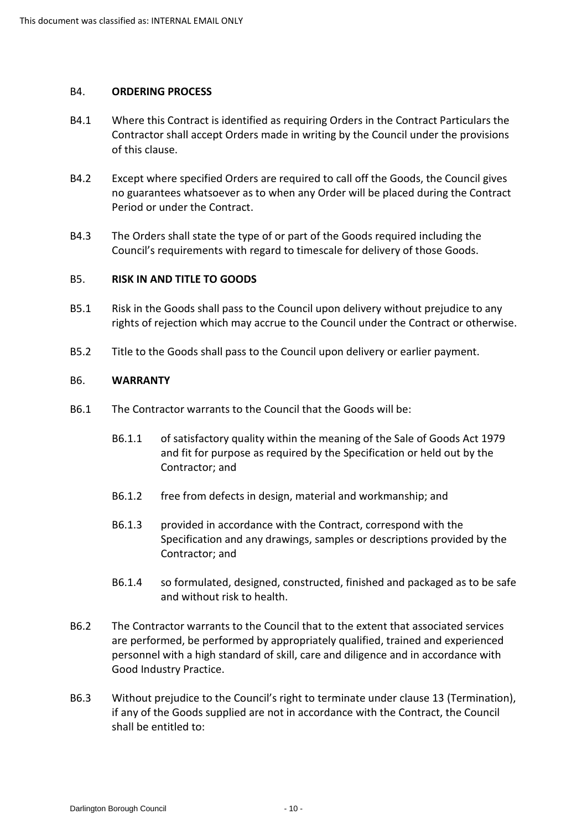#### <span id="page-9-0"></span>B4. **ORDERING PROCESS**

- B4.1 Where this Contract is identified as requiring Orders in the Contract Particulars the Contractor shall accept Orders made in writing by the Council under the provisions of this clause.
- B4.2 Except where specified Orders are required to call off the Goods, the Council gives no guarantees whatsoever as to when any Order will be placed during the Contract Period or under the Contract.
- Council's requirements with regard to timescale for delivery of those Goods. B4.3 The Orders shall state the type of or part of the Goods required including the

# <span id="page-9-1"></span> B5. **RISK IN AND TITLE TO GOODS**

- B5.1 Risk in the Goods shall pass to the Council upon delivery without prejudice to any rights of rejection which may accrue to the Council under the Contract or otherwise.
- B5.2 Title to the Goods shall pass to the Council upon delivery or earlier payment.

#### <span id="page-9-2"></span>B6. **WARRANTY**

- B6.1 The Contractor warrants to the Council that the Goods will be:
	- B6.1.1 of satisfactory quality within the meaning of the Sale of Goods Act 1979 and fit for purpose as required by the Specification or held out by the Contractor; and
	- B6.1.2 free from defects in design, material and workmanship; and
	- Specification and any drawings, samples or descriptions provided by the B6.1.3 provided in accordance with the Contract, correspond with the Contractor; and
	- B6.1.4 so formulated, designed, constructed, finished and packaged as to be safe and without risk to health.
- B6.2 The Contractor warrants to the Council that to the extent that associated services are performed, be performed by appropriately qualified, trained and experienced personnel with a high standard of skill, care and diligence and in accordance with Good Industry Practice.
- B6.3 Without prejudice to the Council's right to terminate under clause 13 (Termination), if any of the Goods supplied are not in accordance with the Contract, the Council shall be entitled to: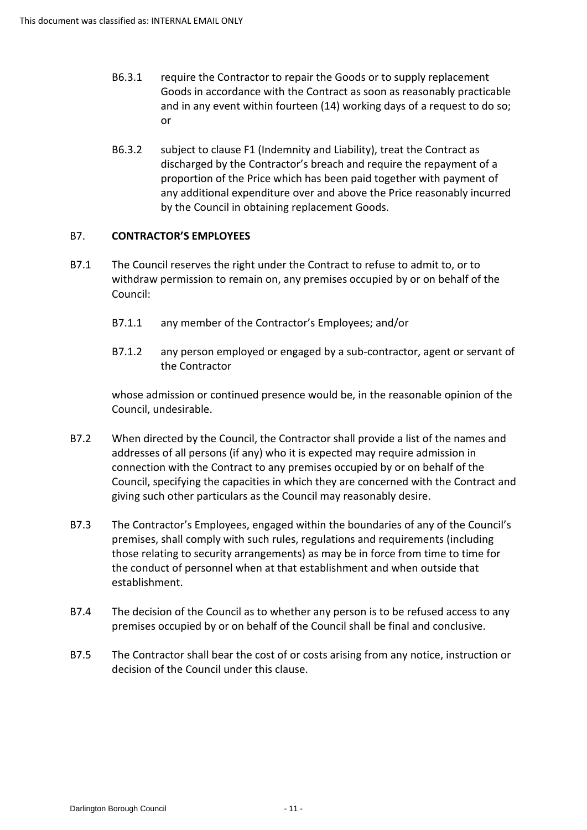- and in any event within fourteen (14) working days of a request to do so; B6.3.1 require the Contractor to repair the Goods or to supply replacement Goods in accordance with the Contract as soon as reasonably practicable or
- proportion of the Price which has been paid together with payment of B6.3.2 subject to clause F1 (Indemnity and Liability), treat the Contract as discharged by the Contractor's breach and require the repayment of a any additional expenditure over and above the Price reasonably incurred by the Council in obtaining replacement Goods.

# <span id="page-10-0"></span>B7. **CONTRACTOR'S EMPLOYEES**

- withdraw permission to remain on, any premises occupied by or on behalf of the B7.1 The Council reserves the right under the Contract to refuse to admit to, or to Council:
	- B7.1.1 any member of the Contractor's Employees; and/or
	- B7.1.2 any person employed or engaged by a sub-contractor, agent or servant of the Contractor

whose admission or continued presence would be, in the reasonable opinion of the Council, undesirable.

- B7.2 When directed by the Council, the Contractor shall provide a list of the names and addresses of all persons (if any) who it is expected may require admission in connection with the Contract to any premises occupied by or on behalf of the Council, specifying the capacities in which they are concerned with the Contract and giving such other particulars as the Council may reasonably desire.
- B7.3 The Contractor's Employees, engaged within the boundaries of any of the Council's those relating to security arrangements) as may be in force from time to time for premises, shall comply with such rules, regulations and requirements (including the conduct of personnel when at that establishment and when outside that establishment.
- B7.4 The decision of the Council as to whether any person is to be refused access to any premises occupied by or on behalf of the Council shall be final and conclusive.
- B7.5 The Contractor shall bear the cost of or costs arising from any notice, instruction or decision of the Council under this clause.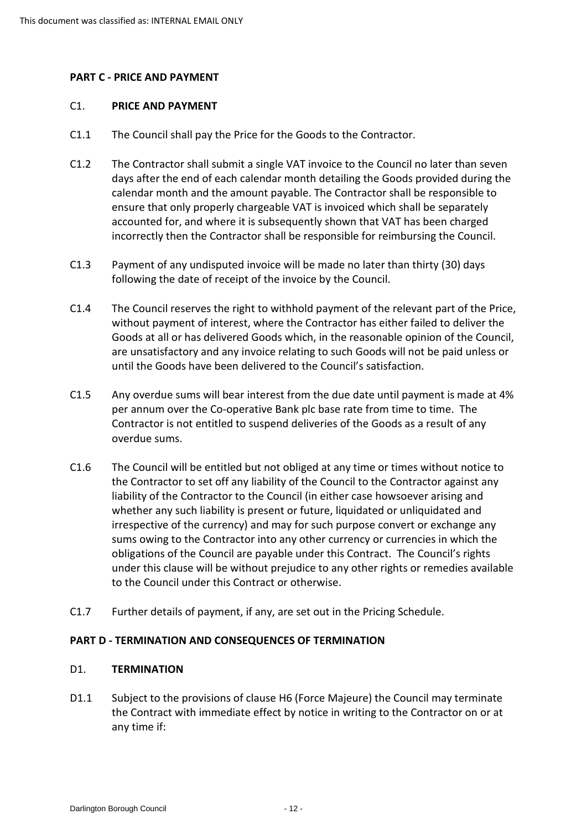## **PART C - PRICE AND PAYMENT**

#### <span id="page-11-0"></span>C1. **PRICE AND PAYMENT**

- C1.1 The Council shall pay the Price for the Goods to the Contractor.
- days after the end of each calendar month detailing the Goods provided during the calendar month and the amount payable. The Contractor shall be responsible to C1.2 The Contractor shall submit a single VAT invoice to the Council no later than seven ensure that only properly chargeable VAT is invoiced which shall be separately accounted for, and where it is subsequently shown that VAT has been charged incorrectly then the Contractor shall be responsible for reimbursing the Council.
- C1.3 Payment of any undisputed invoice will be made no later than thirty (30) days following the date of receipt of the invoice by the Council.
- C1.4 The Council reserves the right to withhold payment of the relevant part of the Price, are unsatisfactory and any invoice relating to such Goods will not be paid unless or without payment of interest, where the Contractor has either failed to deliver the Goods at all or has delivered Goods which, in the reasonable opinion of the Council, until the Goods have been delivered to the Council's satisfaction.
- C1.5 Any overdue sums will bear interest from the due date until payment is made at 4% per annum over the Co-operative Bank plc base rate from time to time. The Contractor is not entitled to suspend deliveries of the Goods as a result of any overdue sums.
- C1.6 The Council will be entitled but not obliged at any time or times without notice to obligations of the Council are payable under this Contract. The Council's rights the Contractor to set off any liability of the Council to the Contractor against any liability of the Contractor to the Council (in either case howsoever arising and whether any such liability is present or future, liquidated or unliquidated and irrespective of the currency) and may for such purpose convert or exchange any sums owing to the Contractor into any other currency or currencies in which the under this clause will be without prejudice to any other rights or remedies available to the Council under this Contract or otherwise.
- C1.7 Further details of payment, if any, are set out in the Pricing Schedule.

#### **PART D - TERMINATION AND CONSEQUENCES OF TERMINATION**

#### <span id="page-11-1"></span>D1. **TERMINATION**

 D1.1 Subject to the provisions of clause H6 (Force Majeure) the Council may terminate the Contract with immediate effect by notice in writing to the Contractor on or at any time if: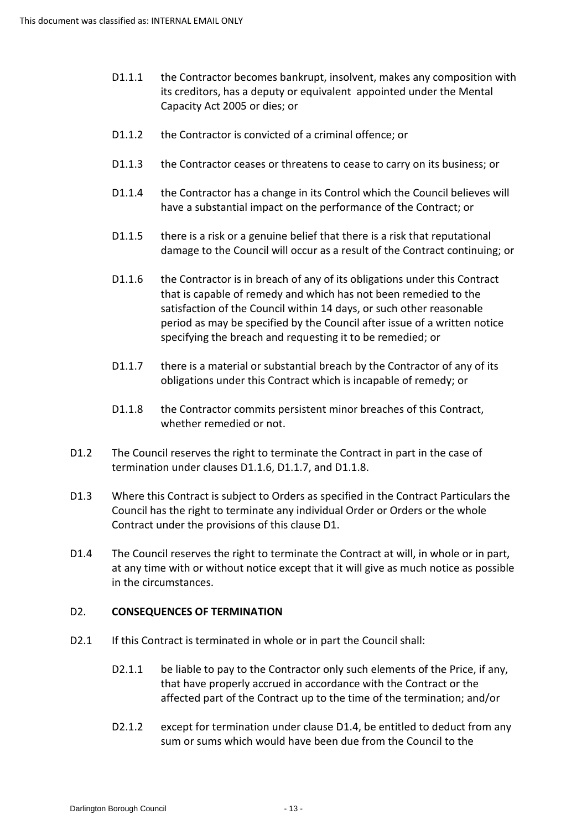- Capacity Act 2005 or dies; or D1.1.1 the Contractor becomes bankrupt, insolvent, makes any composition with its creditors, has a deputy or equivalent appointed under the Mental
- D1.1.2 the Contractor is convicted of a criminal offence; or
- D1.1.3 the Contractor ceases or threatens to cease to carry on its business; or
- have a substantial impact on the performance of the Contract; or D1.1.4 the Contractor has a change in its Control which the Council believes will
- damage to the Council will occur as a result of the Contract continuing; or D1.1.5 there is a risk or a genuine belief that there is a risk that reputational
- D1.1.6 the Contractor is in breach of any of its obligations under this Contract that is capable of remedy and which has not been remedied to the satisfaction of the Council within 14 days, or such other reasonable period as may be specified by the Council after issue of a written notice specifying the breach and requesting it to be remedied; or
- D1.1.7 there is a material or substantial breach by the Contractor of any of its obligations under this Contract which is incapable of remedy; or
- D1.1.8 the Contractor commits persistent minor breaches of this Contract, whether remedied or not.
- D1.2 The Council reserves the right to terminate the Contract in part in the case of termination under clauses D1.1.6, D1.1.7, and D1.1.8.
- D1.3 Where this Contract is subject to Orders as specified in the Contract Particulars the Council has the right to terminate any individual Order or Orders or the whole Contract under the provisions of this clause D1.
- D1.4 The Council reserves the right to terminate the Contract at will, in whole or in part, at any time with or without notice except that it will give as much notice as possible in the circumstances.

## <span id="page-12-0"></span>D2. **CONSEQUENCES OF TERMINATION**

- D2.1 If this Contract is terminated in whole or in part the Council shall:
	- D2.1.1 be liable to pay to the Contractor only such elements of the Price, if any, that have properly accrued in accordance with the Contract or the affected part of the Contract up to the time of the termination; and/or
	- D2.1.2 except for termination under clause D1.4, be entitled to deduct from any sum or sums which would have been due from the Council to the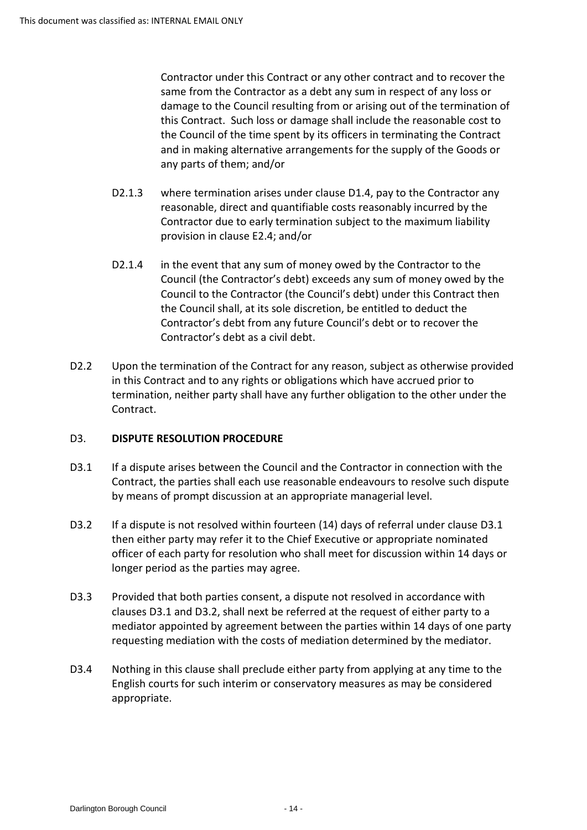Contractor under this Contract or any other contract and to recover the same from the Contractor as a debt any sum in respect of any loss or damage to the Council resulting from or arising out of the termination of this Contract. Such loss or damage shall include the reasonable cost to and in making alternative arrangements for the supply of the Goods or the Council of the time spent by its officers in terminating the Contract any parts of them; and/or

- D2.1.3 where termination arises under clause D1.4, pay to the Contractor any reasonable, direct and quantifiable costs reasonably incurred by the Contractor due to early termination subject to the maximum liability provision in clause E2.4; and/or
- D2.1.4 in the event that any sum of money owed by the Contractor to the Council (the Contractor's debt) exceeds any sum of money owed by the Council to the Contractor (the Council's debt) under this Contract then Contractor's debt as a civil debt. the Council shall, at its sole discretion, be entitled to deduct the Contractor's debt from any future Council's debt or to recover the
- termination, neither party shall have any further obligation to the other under the D2.2 Upon the termination of the Contract for any reason, subject as otherwise provided in this Contract and to any rights or obligations which have accrued prior to Contract.

# <span id="page-13-0"></span>D3. **DISPUTE RESOLUTION PROCEDURE**

- D3.1 If a dispute arises between the Council and the Contractor in connection with the Contract, the parties shall each use reasonable endeavours to resolve such dispute by means of prompt discussion at an appropriate managerial level.
- officer of each party for resolution who shall meet for discussion within 14 days or longer period as the parties may agree. D3.2 If a dispute is not resolved within fourteen (14) days of referral under clause D3.1 then either party may refer it to the Chief Executive or appropriate nominated
- D3.3 Provided that both parties consent, a dispute not resolved in accordance with clauses D3.1 and D3.2, shall next be referred at the request of either party to a mediator appointed by agreement between the parties within 14 days of one party requesting mediation with the costs of mediation determined by the mediator.
- D3.4 Nothing in this clause shall preclude either party from applying at any time to the English courts for such interim or conservatory measures as may be considered appropriate.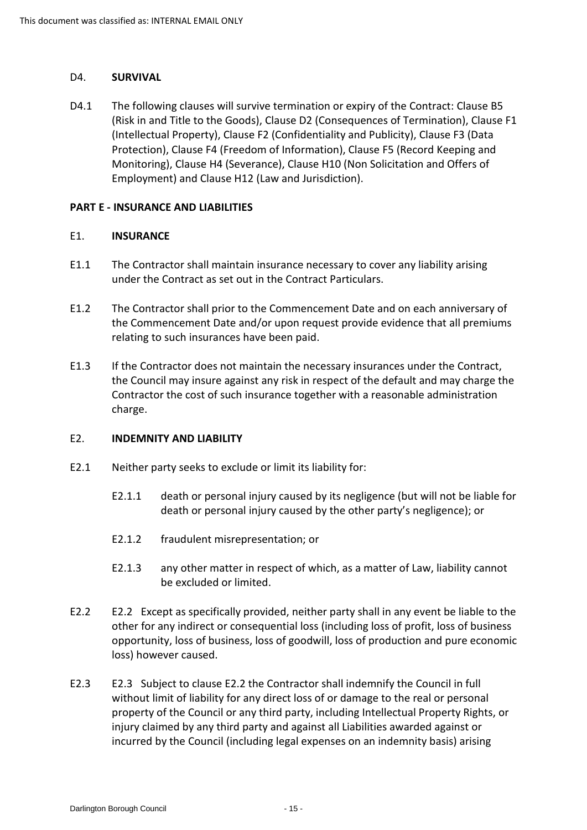#### <span id="page-14-0"></span>D4. **SURVIVAL**

 (Risk in and Title to the Goods), Clause D2 (Consequences of Termination), Clause F1 (Intellectual Property), Clause F2 (Confidentiality and Publicity), Clause F3 (Data D4.1 The following clauses will survive termination or expiry of the Contract: Clause B5 Protection), Clause F4 (Freedom of Information), Clause F5 (Record Keeping and Monitoring), Clause H4 (Severance), Clause H10 (Non Solicitation and Offers of Employment) and Clause H12 (Law and Jurisdiction).

#### **PART E - INSURANCE AND LIABILITIES**

#### <span id="page-14-1"></span>E1. **INSURANCE**

- E1.1 The Contractor shall maintain insurance necessary to cover any liability arising under the Contract as set out in the Contract Particulars.
- E1.2 The Contractor shall prior to the Commencement Date and on each anniversary of the Commencement Date and/or upon request provide evidence that all premiums relating to such insurances have been paid.
- E1.3 If the Contractor does not maintain the necessary insurances under the Contract, the Council may insure against any risk in respect of the default and may charge the Contractor the cost of such insurance together with a reasonable administration charge.

## <span id="page-14-2"></span>E2. **INDEMNITY AND LIABILITY**

- E2.1 Neither party seeks to exclude or limit its liability for:
	- E2.1.1 death or personal injury caused by its negligence (but will not be liable for death or personal injury caused by the other party's negligence); or
	- E2.1.2 fraudulent misrepresentation; or
	- E2.1.3 any other matter in respect of which, as a matter of Law, liability cannot be excluded or limited.
- E2.2 E2.2 Except as specifically provided, neither party shall in any event be liable to the other for any indirect or consequential loss (including loss of profit, loss of business opportunity, loss of business, loss of goodwill, loss of production and pure economic loss) however caused.
- without limit of liability for any direct loss of or damage to the real or personal property of the Council or any third party, including Intellectual Property Rights, or incurred by the Council (including legal expenses on an indemnity basis) arising E2.3 E2.3 Subject to clause E2.2 the Contractor shall indemnify the Council in full injury claimed by any third party and against all Liabilities awarded against or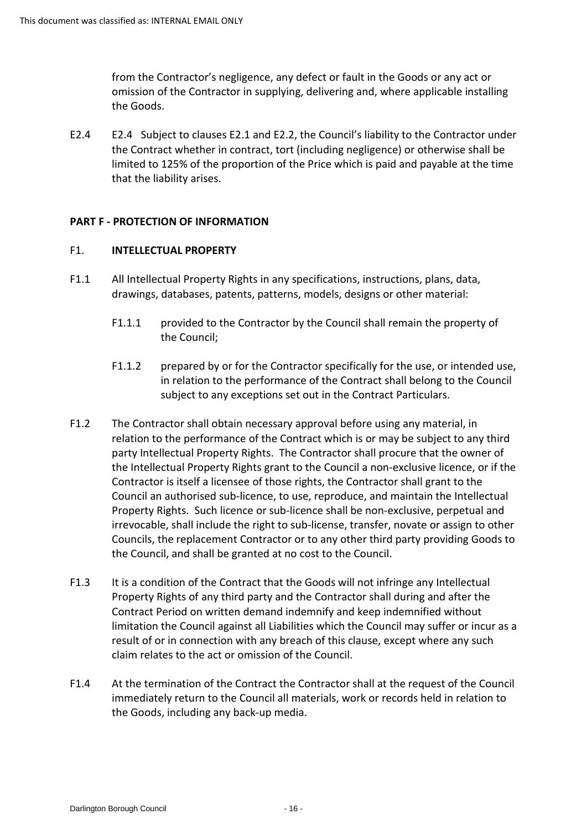from the Contractor's negligence, any defect or fault in the Goods or any act or omission of the Contractor in supplying, delivering and, where applicable installing the Goods.

 E2.4 E2.4 Subject to clauses E2.1 and E2.2, the Council's liability to the Contractor under the Contract whether in contract, tort (including negligence) or otherwise shall be limited to 125% of the proportion of the Price which is paid and payable at the time that the liability arises.

## **PART F - PROTECTION OF INFORMATION**

## <span id="page-15-0"></span>F1. **INTELLECTUAL PROPERTY**

- F1.1 All Intellectual Property Rights in any specifications, instructions, plans, data, drawings, databases, patents, patterns, models, designs or other material:
	- F1.1.1 provided to the Contractor by the Council shall remain the property of the Council;
	- F1.1.2 prepared by or for the Contractor specifically for the use, or intended use, in relation to the performance of the Contract shall belong to the Council subject to any exceptions set out in the Contract Particulars.
- relation to the performance of the Contract which is or may be subject to any third party Intellectual Property Rights. The Contractor shall procure that the owner of Contractor is itself a licensee of those rights, the Contractor shall grant to the irrevocable, shall include the right to sub-license, transfer, novate or assign to other Councils, the replacement Contractor or to any other third party providing Goods to the Council, and shall be granted at no cost to the Council. F1.2 The Contractor shall obtain necessary approval before using any material, in the Intellectual Property Rights grant to the Council a non-exclusive licence, or if the Council an authorised sub-licence, to use, reproduce, and maintain the Intellectual Property Rights. Such licence or sub-licence shall be non-exclusive, perpetual and
- claim relates to the act or omission of the Council. F1.3 It is a condition of the Contract that the Goods will not infringe any Intellectual Property Rights of any third party and the Contractor shall during and after the Contract Period on written demand indemnify and keep indemnified without limitation the Council against all Liabilities which the Council may suffer or incur as a result of or in connection with any breach of this clause, except where any such
- F1.4 At the termination of the Contract the Contractor shall at the request of the Council immediately return to the Council all materials, work or records held in relation to the Goods, including any back-up media.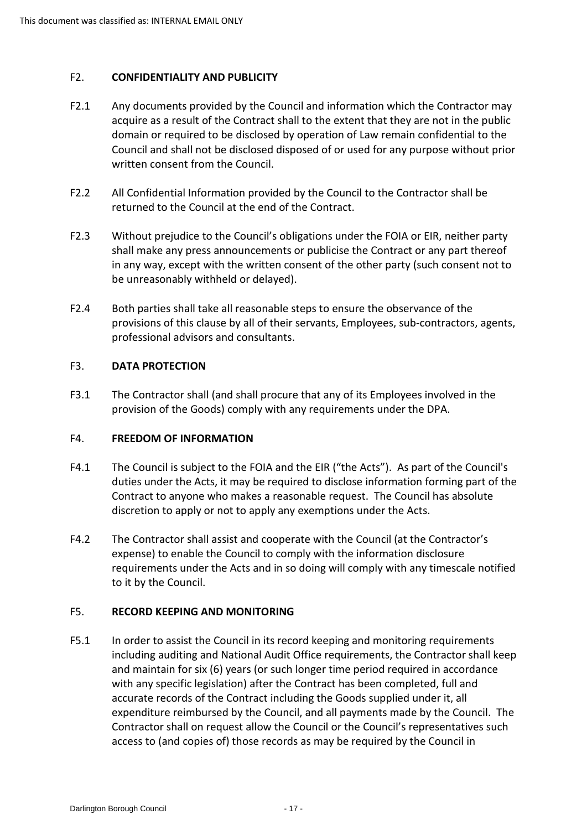## <span id="page-16-0"></span>F2. **CONFIDENTIALITY AND PUBLICITY**

- acquire as a result of the Contract shall to the extent that they are not in the public Council and shall not be disclosed disposed of or used for any purpose without prior written consent from the Council. F2.1 Any documents provided by the Council and information which the Contractor may domain or required to be disclosed by operation of Law remain confidential to the
- F2.2 All Confidential Information provided by the Council to the Contractor shall be returned to the Council at the end of the Contract.
- shall make any press announcements or publicise the Contract or any part thereof in any way, except with the written consent of the other party (such consent not to F2.3 Without prejudice to the Council's obligations under the FOIA or EIR, neither party be unreasonably withheld or delayed).
- F2.4 Both parties shall take all reasonable steps to ensure the observance of the provisions of this clause by all of their servants, Employees, sub-contractors, agents, professional advisors and consultants.

## <span id="page-16-1"></span>F3. **DATA PROTECTION**

F3.1 The Contractor shall (and shall procure that any of its Employees involved in the provision of the Goods) comply with any requirements under the DPA.

## <span id="page-16-2"></span>F4. **FREEDOM OF INFORMATION**

- duties under the Acts, it may be required to disclose information forming part of the Contract to anyone who makes a reasonable request. The Council has absolute discretion to apply or not to apply any exemptions under the Acts. F4.1 The Council is subject to the FOIA and the EIR ("the Acts"). As part of the Council's
- expense) to enable the Council to comply with the information disclosure requirements under the Acts and in so doing will comply with any timescale notified F4.2 The Contractor shall assist and cooperate with the Council (at the Contractor's to it by the Council.

## <span id="page-16-3"></span>F5. **RECORD KEEPING AND MONITORING**

F5.1 In order to assist the Council in its record keeping and monitoring requirements access to (and copies of) those records as may be required by the Council in including auditing and National Audit Office requirements, the Contractor shall keep and maintain for six (6) years (or such longer time period required in accordance with any specific legislation) after the Contract has been completed, full and accurate records of the Contract including the Goods supplied under it, all expenditure reimbursed by the Council, and all payments made by the Council. The Contractor shall on request allow the Council or the Council's representatives such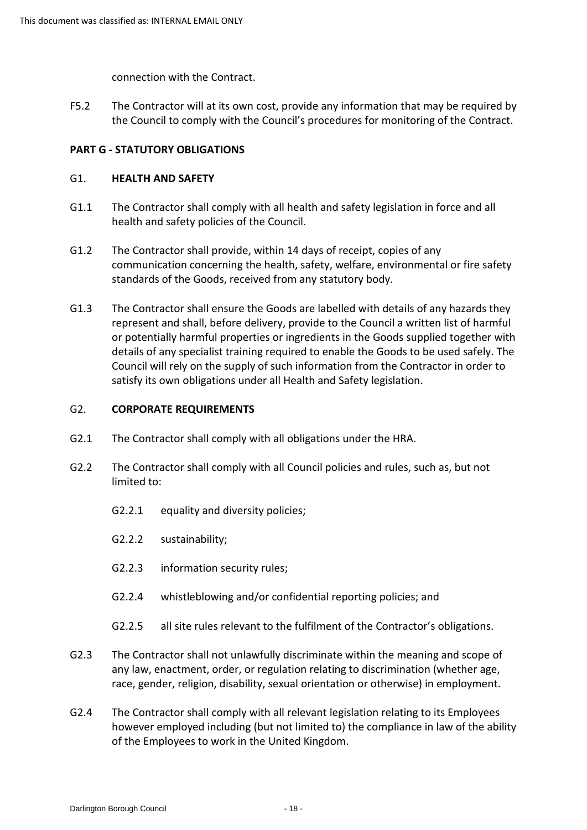connection with the Contract.

 F5.2 The Contractor will at its own cost, provide any information that may be required by the Council to comply with the Council's procedures for monitoring of the Contract.

## **PART G - STATUTORY OBLIGATIONS**

#### <span id="page-17-0"></span>G1. **HEALTH AND SAFETY**

- G1.1 The Contractor shall comply with all health and safety legislation in force and all health and safety policies of the Council.
- G1.2 The Contractor shall provide, within 14 days of receipt, copies of any communication concerning the health, safety, welfare, environmental or fire safety standards of the Goods, received from any statutory body.
- G1.3 The Contractor shall ensure the Goods are labelled with details of any hazards they or potentially harmful properties or ingredients in the Goods supplied together with details of any specialist training required to enable the Goods to be used safely. The Council will rely on the supply of such information from the Contractor in order to represent and shall, before delivery, provide to the Council a written list of harmful satisfy its own obligations under all Health and Safety legislation.

#### <span id="page-17-1"></span>G2. **CORPORATE REQUIREMENTS**

- G2.1 The Contractor shall comply with all obligations under the HRA.
- G2.2 The Contractor shall comply with all Council policies and rules, such as, but not limited to:
	- G2.2.1 equality and diversity policies;
	- G2.2.2 sustainability;
	- G2.2.3 information security rules;
	- G2.2.4 whistleblowing and/or confidential reporting policies; and
	- G2.2.5 all site rules relevant to the fulfilment of the Contractor's obligations.
- G2.3 The Contractor shall not unlawfully discriminate within the meaning and scope of any law, enactment, order, or regulation relating to discrimination (whether age, race, gender, religion, disability, sexual orientation or otherwise) in employment.
- G2.4 The Contractor shall comply with all relevant legislation relating to its Employees however employed including (but not limited to) the compliance in law of the ability of the Employees to work in the United Kingdom.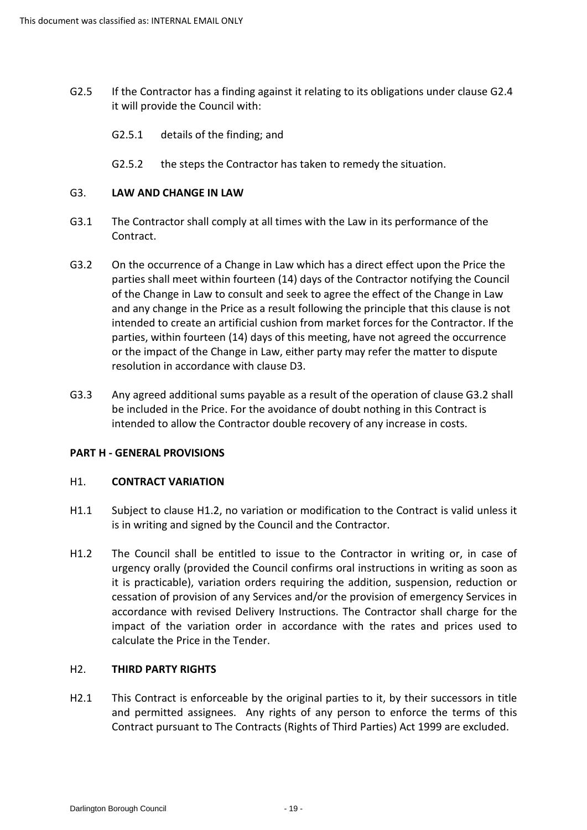- G2.5 If the Contractor has a finding against it relating to its obligations under clause G2.4 it will provide the Council with:
	- G2.5.1 details of the finding; and
	- G2.5.2 the steps the Contractor has taken to remedy the situation.

## <span id="page-18-0"></span>G3. **LAW AND CHANGE IN LAW**

- G3.1 The Contractor shall comply at all times with the Law in its performance of the Contract.
- G3.2 On the occurrence of a Change in Law which has a direct effect upon the Price the parties shall meet within fourteen (14) days of the Contractor notifying the Council and any change in the Price as a result following the principle that this clause is not intended to create an artificial cushion from market forces for the Contractor. If the or the impact of the Change in Law, either party may refer the matter to dispute of the Change in Law to consult and seek to agree the effect of the Change in Law parties, within fourteen (14) days of this meeting, have not agreed the occurrence resolution in accordance with clause D3.
- G3.3 Any agreed additional sums payable as a result of the operation of clause G3.2 shall be included in the Price. For the avoidance of doubt nothing in this Contract is intended to allow the Contractor double recovery of any increase in costs.

## **PART H - GENERAL PROVISIONS**

## <span id="page-18-1"></span>H1. **CONTRACT VARIATION**

- H1.1 Subject to clause H1.2, no variation or modification to the Contract is valid unless it is in writing and signed by the Council and the Contractor.
- H1.2 The Council shall be entitled to issue to the Contractor in writing or, in case of urgency orally (provided the Council confirms oral instructions in writing as soon as cessation of provision of any Services and/or the provision of emergency Services in accordance with revised Delivery Instructions. The Contractor shall charge for the impact of the variation order in accordance with the rates and prices used to it is practicable), variation orders requiring the addition, suspension, reduction or calculate the Price in the Tender.

## <span id="page-18-2"></span>H2. **THIRD PARTY RIGHTS**

H2.1 This Contract is enforceable by the original parties to it, by their successors in title and permitted assignees. Any rights of any person to enforce the terms of this Contract pursuant to The Contracts (Rights of Third Parties) Act 1999 are excluded.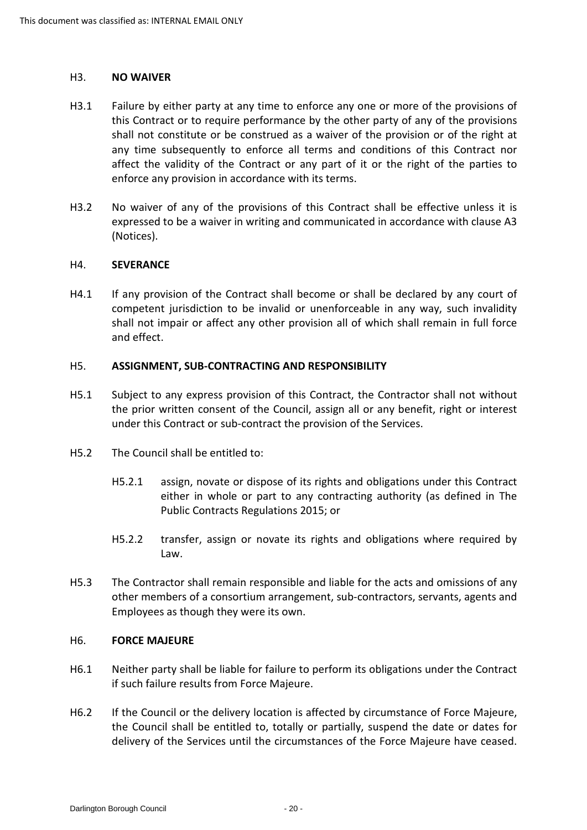#### <span id="page-19-0"></span>H3. **NO WAIVER**

- this Contract or to require performance by the other party of any of the provisions enforce any provision in accordance with its terms. H3.1 Failure by either party at any time to enforce any one or more of the provisions of shall not constitute or be construed as a waiver of the provision or of the right at any time subsequently to enforce all terms and conditions of this Contract nor affect the validity of the Contract or any part of it or the right of the parties to
- H3.2 No waiver of any of the provisions of this Contract shall be effective unless it is expressed to be a waiver in writing and communicated in accordance with clause A3 (Notices).

#### <span id="page-19-1"></span>H4. **SEVERANCE**

H4.1 If any provision of the Contract shall become or shall be declared by any court of competent jurisdiction to be invalid or unenforceable in any way, such invalidity shall not impair or affect any other provision all of which shall remain in full force and effect.

## <span id="page-19-2"></span>H5. **ASSIGNMENT, SUB-CONTRACTING AND RESPONSIBILITY**

- H5.1 Subject to any express provision of this Contract, the Contractor shall not without under this Contract or sub-contract the provision of the Services. the prior written consent of the Council, assign all or any benefit, right or interest
- H5.2 The Council shall be entitled to:
	- H5.2.1 assign, novate or dispose of its rights and obligations under this Contract either in whole or part to any contracting authority (as defined in The Public Contracts Regulations 2015; or
	- H5.2.2 transfer, assign or novate its rights and obligations where required by Law.
- other members of a consortium arrangement, sub-contractors, servants, agents and H5.3 The Contractor shall remain responsible and liable for the acts and omissions of any Employees as though they were its own.

#### <span id="page-19-3"></span>H6. **FORCE MAJEURE**

- H6.1 Neither party shall be liable for failure to perform its obligations under the Contract if such failure results from Force Majeure.
- H6.2 If the Council or the delivery location is affected by circumstance of Force Majeure, the Council shall be entitled to, totally or partially, suspend the date or dates for delivery of the Services until the circumstances of the Force Majeure have ceased.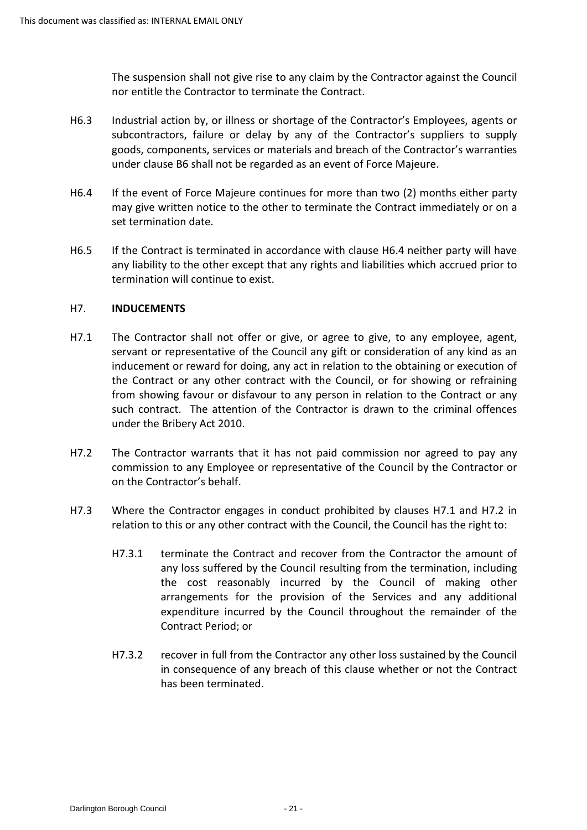The suspension shall not give rise to any claim by the Contractor against the Council nor entitle the Contractor to terminate the Contract.

- H6.3 Industrial action by, or illness or shortage of the Contractor's Employees, agents or subcontractors, failure or delay by any of the Contractor's suppliers to supply goods, components, services or materials and breach of the Contractor's warranties under clause B6 shall not be regarded as an event of Force Majeure.
- H6.4 If the event of Force Majeure continues for more than two (2) months either party may give written notice to the other to terminate the Contract immediately or on a set termination date.
- H6.5 If the Contract is terminated in accordance with clause H6.4 neither party will have any liability to the other except that any rights and liabilities which accrued prior to termination will continue to exist.

## <span id="page-20-0"></span>H7. **INDUCEMENTS**

- servant or representative of the Council any gift or consideration of any kind as an the Contract or any other contract with the Council, or for showing or refraining such contract. The attention of the Contractor is drawn to the criminal offences H7.1 The Contractor shall not offer or give, or agree to give, to any employee, agent, inducement or reward for doing, any act in relation to the obtaining or execution of from showing favour or disfavour to any person in relation to the Contract or any under the Bribery Act 2010.
- H7.2 The Contractor warrants that it has not paid commission nor agreed to pay any commission to any Employee or representative of the Council by the Contractor or on the Contractor's behalf.
- H7.3 Where the Contractor engages in conduct prohibited by clauses H7.1 and H7.2 in relation to this or any other contract with the Council, the Council has the right to:
	- any loss suffered by the Council resulting from the termination, including the cost reasonably incurred by the Council of making other arrangements for the provision of the Services and any additional expenditure incurred by the Council throughout the remainder of the H7.3.1 terminate the Contract and recover from the Contractor the amount of Contract Period; or
	- in consequence of any breach of this clause whether or not the Contract H7.3.2 recover in full from the Contractor any other loss sustained by the Council has been terminated.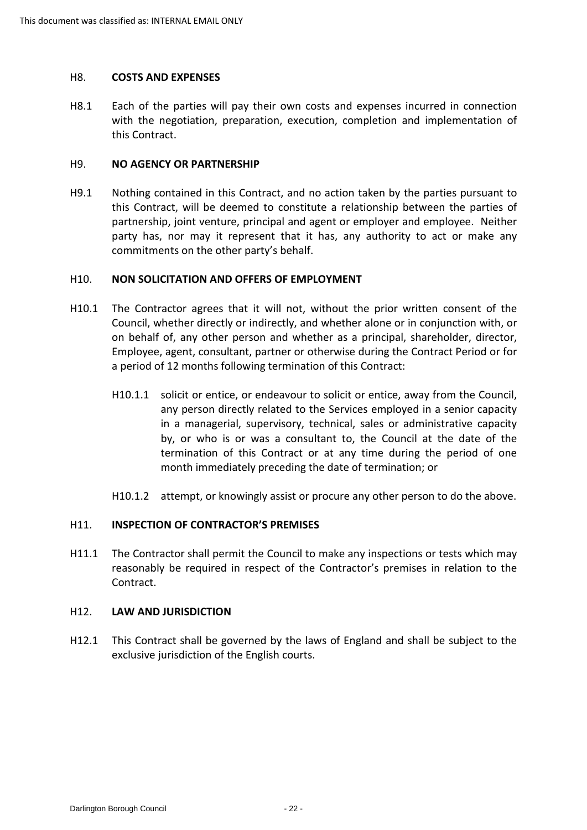#### <span id="page-21-0"></span>H8. **COSTS AND EXPENSES**

 H8.1 Each of the parties will pay their own costs and expenses incurred in connection with the negotiation, preparation, execution, completion and implementation of this Contract.

#### <span id="page-21-1"></span>H9. **NO AGENCY OR PARTNERSHIP**

 this Contract, will be deemed to constitute a relationship between the parties of partnership, joint venture, principal and agent or employer and employee. Neither party has, nor may it represent that it has, any authority to act or make any H9.1 Nothing contained in this Contract, and no action taken by the parties pursuant to commitments on the other party's behalf.

#### <span id="page-21-2"></span>H10. **NON SOLICITATION AND OFFERS OF EMPLOYMENT**

- H10.1 The Contractor agrees that it will not, without the prior written consent of the Employee, agent, consultant, partner or otherwise during the Contract Period or for Council, whether directly or indirectly, and whether alone or in conjunction with, or on behalf of, any other person and whether as a principal, shareholder, director, a period of 12 months following termination of this Contract:
	- H10.1.1 solicit or entice, or endeavour to solicit or entice, away from the Council, any person directly related to the Services employed in a senior capacity in a managerial, supervisory, technical, sales or administrative capacity by, or who is or was a consultant to, the Council at the date of the termination of this Contract or at any time during the period of one month immediately preceding the date of termination; or
	- H10.1.2 attempt, or knowingly assist or procure any other person to do the above.

## <span id="page-21-3"></span>H11. **INSPECTION OF CONTRACTOR'S PREMISES**

H11.1 The Contractor shall permit the Council to make any inspections or tests which may reasonably be required in respect of the Contractor's premises in relation to the Contract.

## <span id="page-21-4"></span>H12. **LAW AND JURISDICTION**

 H12.1 This Contract shall be governed by the laws of England and shall be subject to the exclusive jurisdiction of the English courts.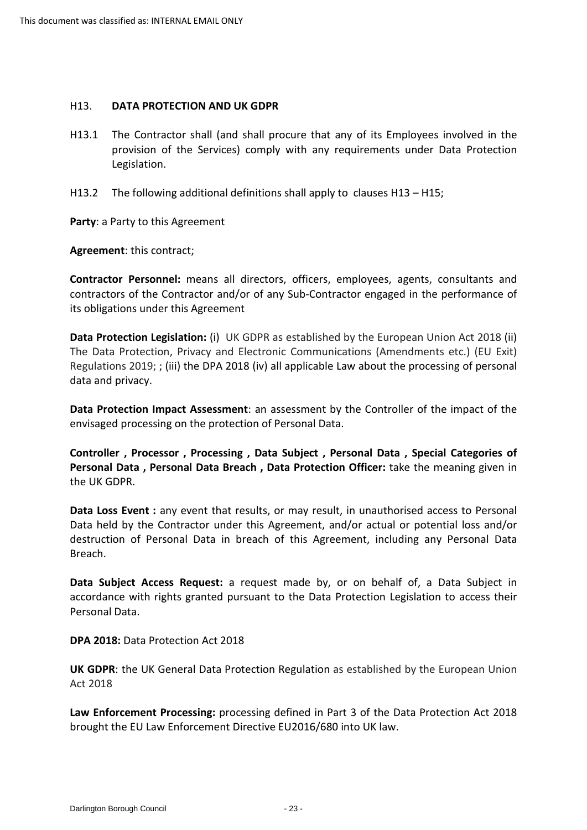#### <span id="page-22-0"></span>H13. **DATA PROTECTION AND UK GDPR**

- provision of the Services) comply with any requirements under Data Protection H13.1 The Contractor shall (and shall procure that any of its Employees involved in the Legislation.
- H13.2 The following additional definitions shall apply to clauses H13 H15;

**Party**: a Party to this Agreement

**Agreement**: this contract;

**Contractor Personnel:** means all directors, officers, employees, agents, consultants and contractors of the Contractor and/or of any Sub-Contractor engaged in the performance of its obligations under this Agreement

 The Data Protection, Privacy and Electronic Communications (Amendments etc.) (EU Exit) Regulations 2019; ; (iii) the DPA 2018 (iv) all applicable Law about the processing of personal **Data Protection Legislation:** (i) UK GDPR as established by the European Union Act 2018 (ii) data and privacy.

**Data Protection Impact Assessment**: an assessment by the Controller of the impact of the envisaged processing on the protection of Personal Data.

**Controller , Processor , Processing , Data Subject , Personal Data , Special Categories of Personal Data , Personal Data Breach , Data Protection Officer:** take the meaning given in the UK GDPR.

 **Data Loss Event :** any event that results, or may result, in unauthorised access to Personal Data held by the Contractor under this Agreement, and/or actual or potential loss and/or destruction of Personal Data in breach of this Agreement, including any Personal Data Breach.

 accordance with rights granted pursuant to the Data Protection Legislation to access their **Data Subject Access Request:** a request made by, or on behalf of, a Data Subject in Personal Data.

**DPA 2018:** Data Protection Act 2018

 Act 2018 **UK GDPR**: the UK General Data Protection Regulation as established by the European Union

**Law Enforcement Processing:** processing defined in Part 3 of the Data Protection Act 2018 brought the EU Law Enforcement Directive EU2016/680 into UK law.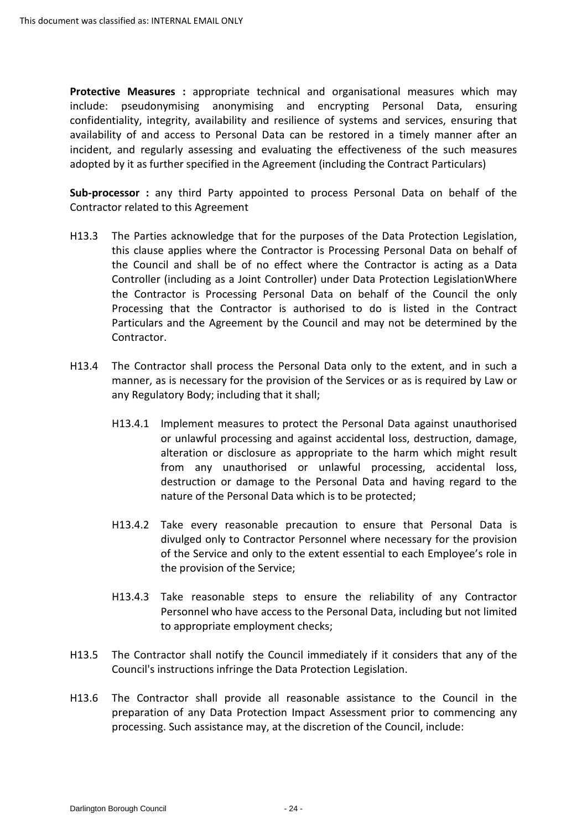availability of and access to Personal Data can be restored in a timely manner after an **Protective Measures :** appropriate technical and organisational measures which may include: pseudonymising anonymising and encrypting Personal Data, ensuring confidentiality, integrity, availability and resilience of systems and services, ensuring that incident, and regularly assessing and evaluating the effectiveness of the such measures adopted by it as further specified in the Agreement (including the Contract Particulars)

 **Sub-processor :** any third Party appointed to process Personal Data on behalf of the Contractor related to this Agreement

- H13.3 The Parties acknowledge that for the purposes of the Data Protection Legislation, the Contractor is Processing Personal Data on behalf of the Council the only Processing that the Contractor is authorised to do is listed in the Contract Particulars and the Agreement by the Council and may not be determined by the this clause applies where the Contractor is Processing Personal Data on behalf of the Council and shall be of no effect where the Contractor is acting as a Data Controller (including as a Joint Controller) under Data Protection LegislationWhere Contractor.
- H13.4 The Contractor shall process the Personal Data only to the extent, and in such a manner, as is necessary for the provision of the Services or as is required by Law or any Regulatory Body; including that it shall;
	- H13.4.1 Implement measures to protect the Personal Data against unauthorised from any unauthorised or unlawful processing, accidental loss, destruction or damage to the Personal Data and having regard to the nature of the Personal Data which is to be protected; or unlawful processing and against accidental loss, destruction, damage, alteration or disclosure as appropriate to the harm which might result
	- divulged only to Contractor Personnel where necessary for the provision H13.4.2 Take every reasonable precaution to ensure that Personal Data is of the Service and only to the extent essential to each Employee's role in the provision of the Service;
	- H13.4.3 Take reasonable steps to ensure the reliability of any Contractor Personnel who have access to the Personal Data, including but not limited to appropriate employment checks;
- Council's instructions infringe the Data Protection Legislation. H13.5 The Contractor shall notify the Council immediately if it considers that any of the
- H13.6 The Contractor shall provide all reasonable assistance to the Council in the preparation of any Data Protection Impact Assessment prior to commencing any processing. Such assistance may, at the discretion of the Council, include: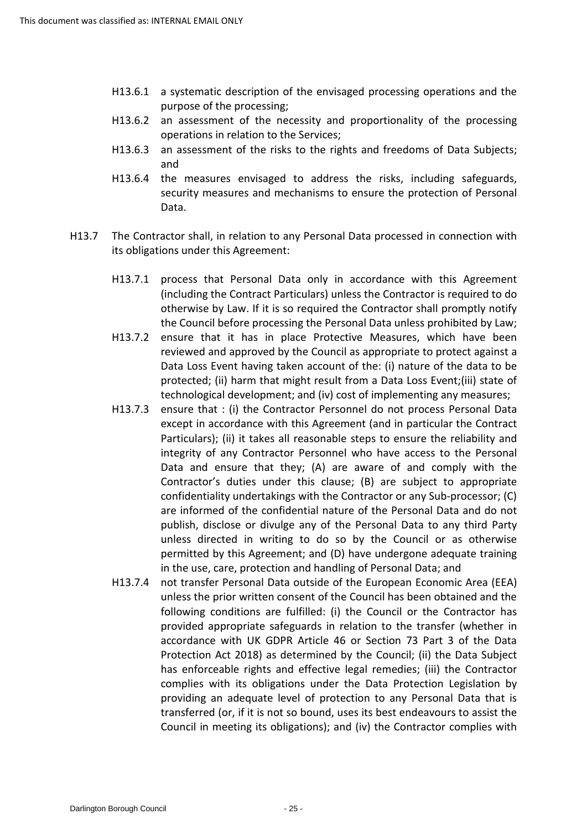- H13.6.1 a systematic description of the envisaged processing operations and the purpose of the processing;
- H13.6.2 an assessment of the necessity and proportionality of the processing operations in relation to the Services;
- H13.6.3 an assessment of the risks to the rights and freedoms of Data Subjects; and
- H13.6.4 the measures envisaged to address the risks, including safeguards, security measures and mechanisms to ensure the protection of Personal Data.
- H13.7 The Contractor shall, in relation to any Personal Data processed in connection with its obligations under this Agreement:
	- (including the Contract Particulars) unless the Contractor is required to do the Council before processing the Personal Data unless prohibited by Law; H13.7.1 process that Personal Data only in accordance with this Agreement otherwise by Law. If it is so required the Contractor shall promptly notify
	- H13.7.2 ensure that it has in place Protective Measures, which have been reviewed and approved by the Council as appropriate to protect against a Data Loss Event having taken account of the: (i) nature of the data to be technological development; and (iv) cost of implementing any measures; protected; (ii) harm that might result from a Data Loss Event;(iii) state of
	- H13.7.3 ensure that : (i) the Contractor Personnel do not process Personal Data Particulars); (ii) it takes all reasonable steps to ensure the reliability and integrity of any Contractor Personnel who have access to the Personal are informed of the confidential nature of the Personal Data and do not publish, disclose or divulge any of the Personal Data to any third Party unless directed in writing to do so by the Council or as otherwise permitted by this Agreement; and (D) have undergone adequate training in the use, care, protection and handling of Personal Data; and except in accordance with this Agreement (and in particular the Contract Data and ensure that they; (A) are aware of and comply with the Contractor's duties under this clause; (B) are subject to appropriate confidentiality undertakings with the Contractor or any Sub-processor; (C)
	- H13.7.4 not transfer Personal Data outside of the European Economic Area (EEA)<br>unless the prior written consent of the Council has been obtained and the accordance with UK GDPR Article 46 or Section 73 Part 3 of the Data Protection Act 2018) as determined by the Council; (ii) the Data Subject complies with its obligations under the Data Protection Legislation by providing an adequate level of protection to any Personal Data that is transferred (or, if it is not so bound, uses its best endeavours to assist the following conditions are fulfilled: (i) the Council or the Contractor has provided appropriate safeguards in relation to the transfer (whether in has enforceable rights and effective legal remedies; (iii) the Contractor Council in meeting its obligations); and (iv) the Contractor complies with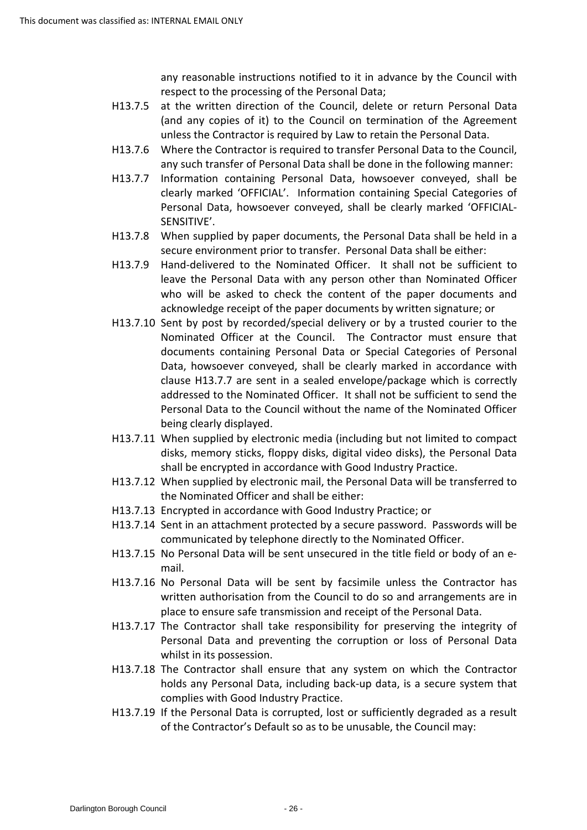any reasonable instructions notified to it in advance by the Council with respect to the processing of the Personal Data;

- H13.7.5 at the written direction of the Council, delete or return Personal Data unless the Contractor is required by Law to retain the Personal Data. (and any copies of it) to the Council on termination of the Agreement
- H13.7.6 Where the Contractor is required to transfer Personal Data to the Council, any such transfer of Personal Data shall be done in the following manner:
- H13.7.7 Information containing Personal Data, howsoever conveyed, shall be clearly marked 'OFFICIAL'. Information containing Special Categories of Personal Data, howsoever conveyed, shall be clearly marked 'OFFICIAL-SENSITIVE'.
- H13.7.8 When supplied by paper documents, the Personal Data shall be held in a secure environment prior to transfer. Personal Data shall be either:
- H13.7.9 Hand-delivered to the Nominated Officer. It shall not be sufficient to acknowledge receipt of the paper documents by written signature; or leave the Personal Data with any person other than Nominated Officer who will be asked to check the content of the paper documents and
- [H13.7.10](https://H13.7.10) Sent by post by recorded/special delivery or by a trusted courier to the Nominated Officer at the Council. The Contractor must ensure that addressed to the Nominated Officer. It shall not be sufficient to send the Personal Data to the Council without the name of the Nominated Officer being clearly displayed. documents containing Personal Data or Special Categories of Personal Data, howsoever conveyed, shall be clearly marked in accordance with clause H13.7.7 are sent in a sealed envelope/package which is correctly
- disks, memory sticks, floppy disks, digital video disks), the Personal Data [H13.7.11](https://H13.7.11) When supplied by electronic media (including but not limited to compact shall be encrypted in accordance with Good Industry Practice.
- [H13.7.12](https://H13.7.12) When supplied by electronic mail, the Personal Data will be transferred to the Nominated Officer and shall be either:
- H13.7.13 Encrypted in accordance with Good Industry Practice; or
- [H13.7.13](https://H13.7.13) Encrypted in accordance with Good Industry Practice; or<br>[H13.7.14](https://H13.7.14) Sent in an attachment protected by a secure password. Passwords will be communicated by telephone directly to the Nominated Officer.
- [H13.7.15](https://H13.7.15) No Personal Data will be sent unsecured in the title field or body of an email.
- [H13.7.16](https://H13.7.16) No Personal Data will be sent by facsimile unless the Contractor has place to ensure safe transmission and receipt of the Personal Data. written authorisation from the Council to do so and arrangements are in
- Personal Data and preventing the corruption or loss of Personal Data [H13.7.17](https://H13.7.17) The Contractor shall take responsibility for preserving the integrity of whilst in its possession.
- [H13.7.18](https://H13.7.18) The Contractor shall ensure that any system on which the Contractor holds any Personal Data, including back-up data, is a secure system that complies with Good Industry Practice.
- [H13.7.19](https://H13.7.19) If the Personal Data is corrupted, lost or sufficiently degraded as a result of the Contractor's Default so as to be unusable, the Council may: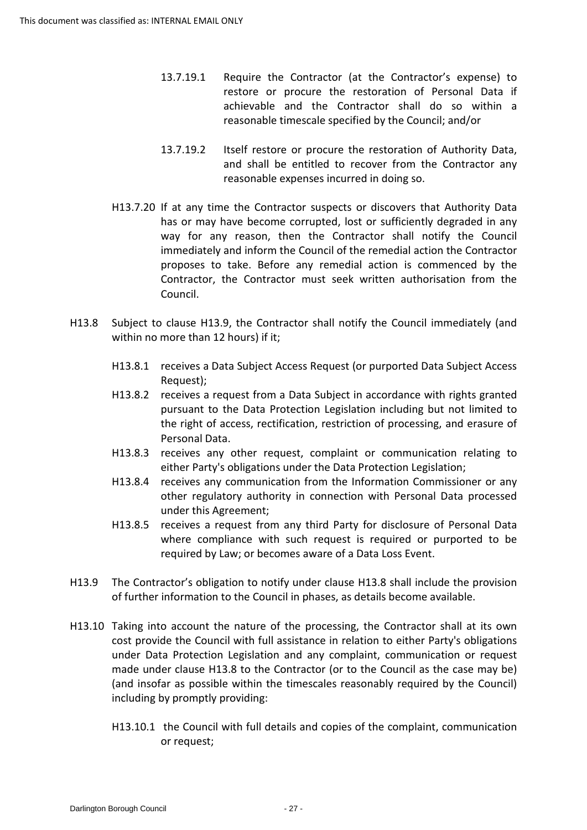- 13.7.19.1 Require the Contractor (at the Contractor's expense) to restore or procure the restoration of Personal Data if achievable and the Contractor shall do so within a reasonable timescale specified by the Council; and/or
- and shall be entitled to recover from the Contractor any 13.7.19.2 Itself restore or procure the restoration of Authority Data, reasonable expenses incurred in doing so.
- [H13.7.20](https://H13.7.20) If at any time the Contractor suspects or discovers that Authority Data has or may have become corrupted, lost or sufficiently degraded in any way for any reason, then the Contractor shall notify the Council immediately and inform the Council of the remedial action the Contractor proposes to take. Before any remedial action is commenced by the Contractor, the Contractor must seek written authorisation from the Council.
- within no more than 12 hours) if it; H13.8 Subject to clause H13.9, the Contractor shall notify the Council immediately (and
	- H13.8.1 receives a Data Subject Access Request (or purported Data Subject Access Request);
	- the right of access, rectification, restriction of processing, and erasure of H13.8.2 receives a request from a Data Subject in accordance with rights granted pursuant to the Data Protection Legislation including but not limited to Personal Data.
	- H13.8.3 receives any other request, complaint or communication relating to either Party's obligations under the Data Protection Legislation;
	- H13.8.4 receives any communication from the Information Commissioner or any other regulatory authority in connection with Personal Data processed under this Agreement;
	- H13.8.5 receives a request from any third Party for disclosure of Personal Data where compliance with such request is required or purported to be required by Law; or becomes aware of a Data Loss Event.
- of further information to the Council in phases, as details become available. H13.9 The Contractor's obligation to notify under clause H13.8 shall include the provision
- H13.10 Taking into account the nature of the processing, the Contractor shall at its own (and insofar as possible within the timescales reasonably required by the Council) cost provide the Council with full assistance in relation to either Party's obligations under Data Protection Legislation and any complaint, communication or request made under clause H13.8 to the Contractor (or to the Council as the case may be) including by promptly providing:
	- H13.10.1 the Council with full details and copies of the complaint, communication or request;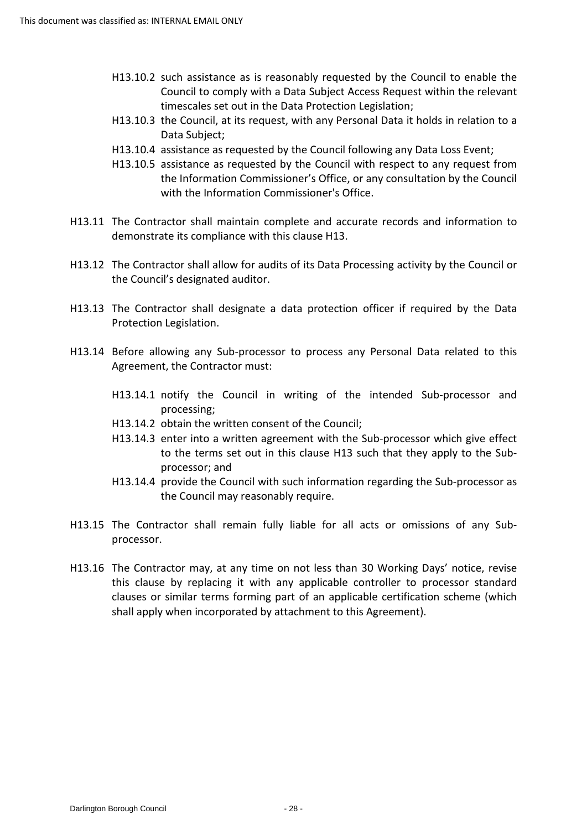- H13.10.2 such assistance as is reasonably requested by the Council to enable the Council to comply with a Data Subject Access Request within the relevant timescales set out in the Data Protection Legislation;
- H13.10.3 the Council, at its request, with any Personal Data it holds in relation to a Data Subject;
- H13.10.4 assistance as requested by the Council following any Data Loss Event;
- the Information Commissioner's Office, or any consultation by the Council H13.10.5 assistance as requested by the Council with respect to any request from with the Information Commissioner's Office.
- H13.11 The Contractor shall maintain complete and accurate records and information to demonstrate its compliance with this clause H13.
- H13.12 The Contractor shall allow for audits of its Data Processing activity by the Council or the Council's designated auditor.
- H13.13 The Contractor shall designate a data protection officer if required by the Data Protection Legislation.
- H13.14 Before allowing any Sub-processor to process any Personal Data related to this Agreement, the Contractor must:
	- H13.14.1 notify the Council in writing of the intended Sub-processor and processing;
	- H13.14.2 obtain the written consent of the Council;
	- to the terms set out in this clause H13 such that they apply to the Sub-H13.14.3 enter into a written agreement with the Sub-processor which give effect processor; and
	- H13.14.4 provide the Council with such information regarding the Sub-processor as the Council may reasonably require.
- H13.15 The Contractor shall remain fully liable for all acts or omissions of any Subprocessor.
- H13.16 The Contractor may, at any time on not less than 30 Working Days' notice, revise this clause by replacing it with any applicable controller to processor standard clauses or similar terms forming part of an applicable certification scheme (which shall apply when incorporated by attachment to this Agreement).